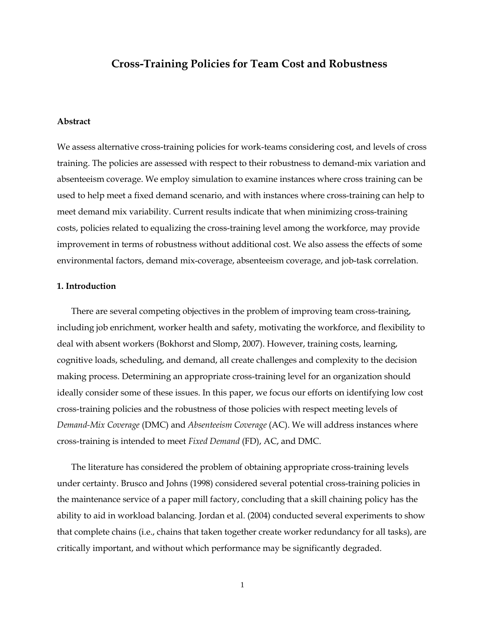## **Cross-Training Policies for Team Cost and Robustness**

### **Abstract**

We assess alternative cross-training policies for work-teams considering cost, and levels of cross training. The policies are assessed with respect to their robustness to demand-mix variation and absenteeism coverage. We employ simulation to examine instances where cross training can be used to help meet a fixed demand scenario, and with instances where cross-training can help to meet demand mix variability. Current results indicate that when minimizing cross-training costs, policies related to equalizing the cross-training level among the workforce, may provide improvement in terms of robustness without additional cost. We also assess the effects of some environmental factors, demand mix-coverage, absenteeism coverage, and job-task correlation.

### **1. Introduction**

There are several competing objectives in the problem of improving team cross-training, including job enrichment, worker health and safety, motivating the workforce, and flexibility to deal with absent workers (Bokhorst and Slomp, 2007). However, training costs, learning, cognitive loads, scheduling, and demand, all create challenges and complexity to the decision making process. Determining an appropriate cross-training level for an organization should ideally consider some of these issues. In this paper, we focus our efforts on identifying low cost cross-training policies and the robustness of those policies with respect meeting levels of *Demand-Mix Coverage* (DMC) and *Absenteeism Coverage* (AC). We will address instances where cross-training is intended to meet *Fixed Demand* (FD), AC, and DMC.

The literature has considered the problem of obtaining appropriate cross-training levels under certainty. Brusco and Johns (1998) considered several potential cross-training policies in the maintenance service of a paper mill factory, concluding that a skill chaining policy has the ability to aid in workload balancing. Jordan et al. (2004) conducted several experiments to show that complete chains (i.e., chains that taken together create worker redundancy for all tasks), are critically important, and without which performance may be significantly degraded.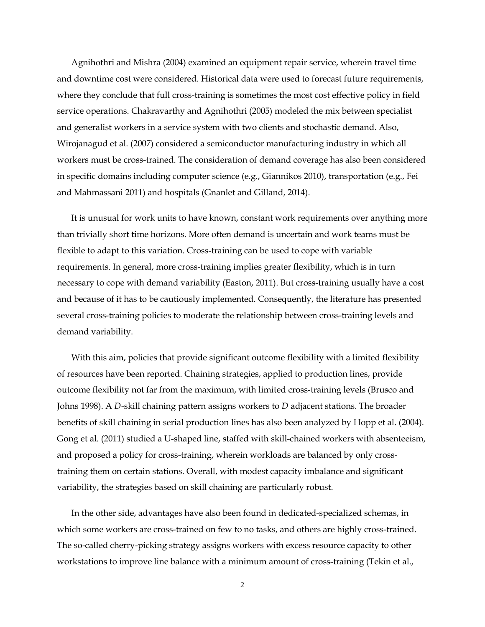Agnihothri and Mishra (2004) examined an equipment repair service, wherein travel time and downtime cost were considered. Historical data were used to forecast future requirements, where they conclude that full cross-training is sometimes the most cost effective policy in field service operations. Chakravarthy and Agnihothri (2005) modeled the mix between specialist and generalist workers in a service system with two clients and stochastic demand. Also, Wirojanagud et al. (2007) considered a semiconductor manufacturing industry in which all workers must be cross-trained. The consideration of demand coverage has also been considered in specific domains including computer science (e.g., Giannikos 2010), transportation (e.g., Fei and Mahmassani 2011) and hospitals (Gnanlet and Gilland, 2014).

It is unusual for work units to have known, constant work requirements over anything more than trivially short time horizons. More often demand is uncertain and work teams must be flexible to adapt to this variation. Cross-training can be used to cope with variable requirements. In general, more cross-training implies greater flexibility, which is in turn necessary to cope with demand variability (Easton, 2011). But cross-training usually have a cost and because of it has to be cautiously implemented. Consequently, the literature has presented several cross-training policies to moderate the relationship between cross-training levels and demand variability.

With this aim, policies that provide significant outcome flexibility with a limited flexibility of resources have been reported. Chaining strategies, applied to production lines, provide outcome flexibility not far from the maximum, with limited cross-training levels (Brusco and Johns 1998). A *D*-skill chaining pattern assigns workers to *D* adjacent stations. The broader benefits of skill chaining in serial production lines has also been analyzed by Hopp et al. (2004). Gong et al. (2011) studied a U-shaped line, staffed with skill-chained workers with absenteeism, and proposed a policy for cross-training, wherein workloads are balanced by only crosstraining them on certain stations. Overall, with modest capacity imbalance and significant variability, the strategies based on skill chaining are particularly robust.

In the other side, advantages have also been found in dedicated-specialized schemas, in which some workers are cross-trained on few to no tasks, and others are highly cross-trained. The so-called cherry-picking strategy assigns workers with excess resource capacity to other workstations to improve line balance with a minimum amount of cross-training (Tekin et al.,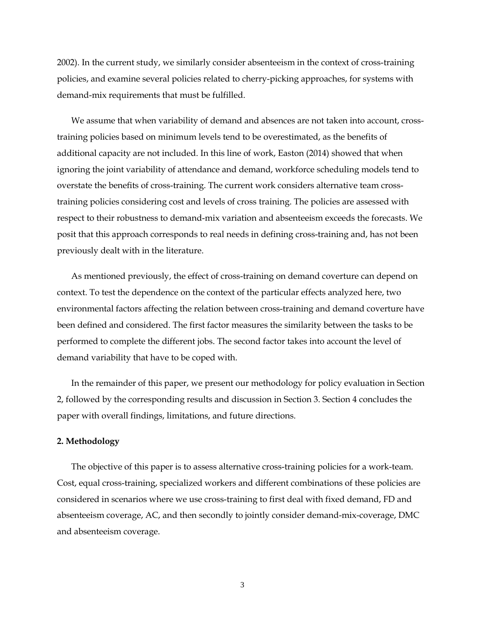2002). In the current study, we similarly consider absenteeism in the context of cross-training policies, and examine several policies related to cherry-picking approaches, for systems with demand-mix requirements that must be fulfilled.

We assume that when variability of demand and absences are not taken into account, crosstraining policies based on minimum levels tend to be overestimated, as the benefits of additional capacity are not included. In this line of work, Easton (2014) showed that when ignoring the joint variability of attendance and demand, workforce scheduling models tend to overstate the benefits of cross-training. The current work considers alternative team crosstraining policies considering cost and levels of cross training. The policies are assessed with respect to their robustness to demand-mix variation and absenteeism exceeds the forecasts. We posit that this approach corresponds to real needs in defining cross-training and, has not been previously dealt with in the literature.

As mentioned previously, the effect of cross-training on demand coverture can depend on context. To test the dependence on the context of the particular effects analyzed here, two environmental factors affecting the relation between cross-training and demand coverture have been defined and considered. The first factor measures the similarity between the tasks to be performed to complete the different jobs. The second factor takes into account the level of demand variability that have to be coped with.

In the remainder of this paper, we present our methodology for policy evaluation in Section 2, followed by the corresponding results and discussion in Section 3. Section 4 concludes the paper with overall findings, limitations, and future directions.

### **2. Methodology**

The objective of this paper is to assess alternative cross-training policies for a work-team. Cost, equal cross-training, specialized workers and different combinations of these policies are considered in scenarios where we use cross-training to first deal with fixed demand, FD and absenteeism coverage, AC, and then secondly to jointly consider demand-mix-coverage, DMC and absenteeism coverage.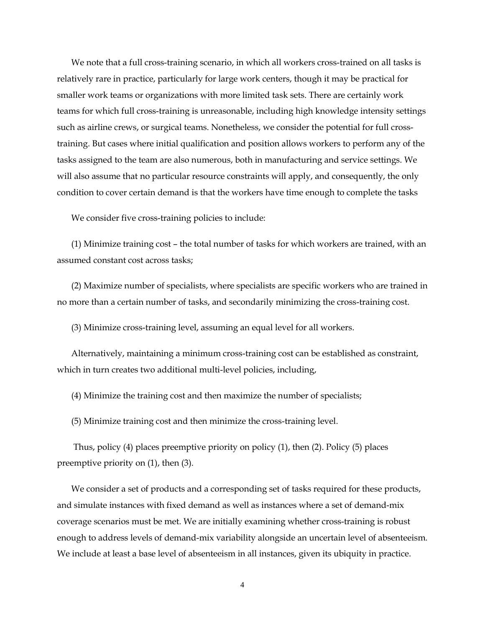We note that a full cross-training scenario, in which all workers cross-trained on all tasks is relatively rare in practice, particularly for large work centers, though it may be practical for smaller work teams or organizations with more limited task sets. There are certainly work teams for which full cross-training is unreasonable, including high knowledge intensity settings such as airline crews, or surgical teams. Nonetheless, we consider the potential for full crosstraining. But cases where initial qualification and position allows workers to perform any of the tasks assigned to the team are also numerous, both in manufacturing and service settings. We will also assume that no particular resource constraints will apply, and consequently, the only condition to cover certain demand is that the workers have time enough to complete the tasks

We consider five cross-training policies to include:

(1) Minimize training cost – the total number of tasks for which workers are trained, with an assumed constant cost across tasks;

(2) Maximize number of specialists, where specialists are specific workers who are trained in no more than a certain number of tasks, and secondarily minimizing the cross-training cost.

(3) Minimize cross-training level, assuming an equal level for all workers.

Alternatively, maintaining a minimum cross-training cost can be established as constraint, which in turn creates two additional multi-level policies, including,

(4) Minimize the training cost and then maximize the number of specialists;

(5) Minimize training cost and then minimize the cross-training level.

Thus, policy (4) places preemptive priority on policy (1), then (2). Policy (5) places preemptive priority on (1), then (3).

We consider a set of products and a corresponding set of tasks required for these products, and simulate instances with fixed demand as well as instances where a set of demand-mix coverage scenarios must be met. We are initially examining whether cross-training is robust enough to address levels of demand-mix variability alongside an uncertain level of absenteeism. We include at least a base level of absenteeism in all instances, given its ubiquity in practice.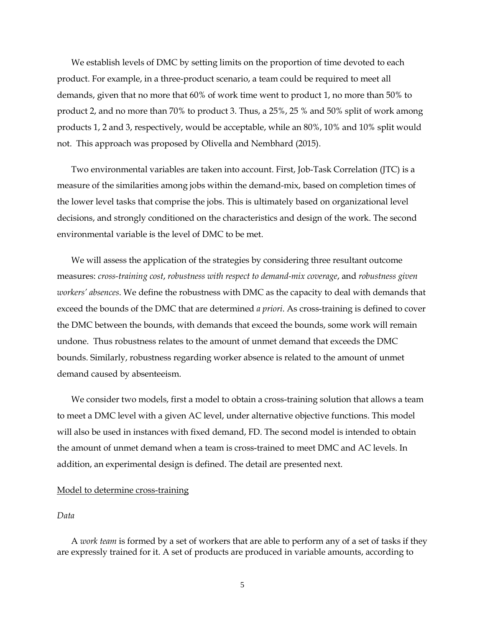We establish levels of DMC by setting limits on the proportion of time devoted to each product. For example, in a three-product scenario, a team could be required to meet all demands, given that no more that 60% of work time went to product 1, no more than 50% to product 2, and no more than 70% to product 3. Thus, a 25%, 25 % and 50% split of work among products 1, 2 and 3, respectively, would be acceptable, while an 80%, 10% and 10% split would not. This approach was proposed by Olivella and Nembhard (2015).

Two environmental variables are taken into account. First, Job-Task Correlation (JTC) is a measure of the similarities among jobs within the demand-mix, based on completion times of the lower level tasks that comprise the jobs. This is ultimately based on organizational level decisions, and strongly conditioned on the characteristics and design of the work. The second environmental variable is the level of DMC to be met.

We will assess the application of the strategies by considering three resultant outcome measures: *cross-training cost*, *robustness with respect to demand-mix coverage*, and *robustness given workers' absences*. We define the robustness with DMC as the capacity to deal with demands that exceed the bounds of the DMC that are determined *a priori*. As cross-training is defined to cover the DMC between the bounds, with demands that exceed the bounds, some work will remain undone. Thus robustness relates to the amount of unmet demand that exceeds the DMC bounds. Similarly, robustness regarding worker absence is related to the amount of unmet demand caused by absenteeism.

We consider two models, first a model to obtain a cross-training solution that allows a team to meet a DMC level with a given AC level, under alternative objective functions. This model will also be used in instances with fixed demand, FD. The second model is intended to obtain the amount of unmet demand when a team is cross-trained to meet DMC and AC levels. In addition, an experimental design is defined. The detail are presented next.

### Model to determine cross-training

### *Data*

A *work team* is formed by a set of workers that are able to perform any of a set of tasks if they are expressly trained for it. A set of products are produced in variable amounts, according to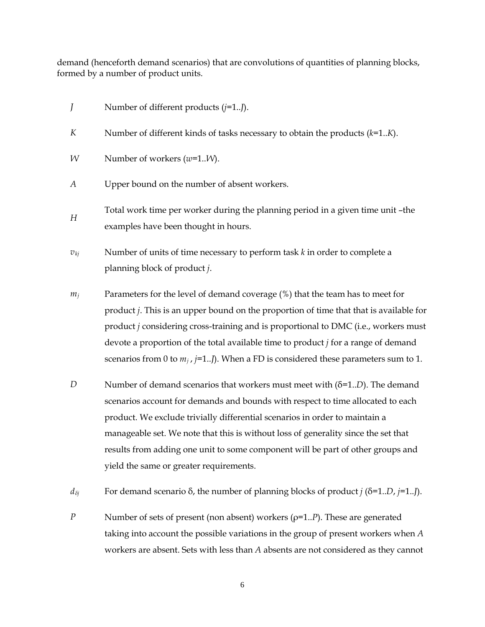demand (henceforth demand scenarios) that are convolutions of quantities of planning blocks, formed by a number of product units.

- *J* Number of different products (*j*=1..*J*).
- *K* Number of different kinds of tasks necessary to obtain the products (*k*=1..*K*).
- *W* Number of workers (*w*=1..*W*).
- *A* Upper bound on the number of absent workers.
- *<sup>H</sup>* Total work time per worker during the planning period in a given time unit –the examples have been thought in hours.
- $v_{kj}$  Number of units of time necessary to perform task *k* in order to complete a planning block of product *j*.
- *mj* Parameters for the level of demand coverage (%) that the team has to meet for product *j*. This is an upper bound on the proportion of time that that is available for product *j* considering cross-training and is proportional to DMC (i.e., workers must devote a proportion of the total available time to product *j* for a range of demand scenarios from 0 to  $m_i$ ,  $j=1..$ ). When a FD is considered these parameters sum to 1.
- *D* Number of demand scenarios that workers must meet with (δ=1..*D*). The demand scenarios account for demands and bounds with respect to time allocated to each product. We exclude trivially differential scenarios in order to maintain a manageable set. We note that this is without loss of generality since the set that results from adding one unit to some component will be part of other groups and yield the same or greater requirements.
- *dδj* For demand scenario δ, the number of planning blocks of product *j* (δ=1..*D*, *j*=1..*J*).
- *P* Number of sets of present (non absent) workers (ρ=1.*P*). These are generated taking into account the possible variations in the group of present workers when *A*  workers are absent. Sets with less than *A* absents are not considered as they cannot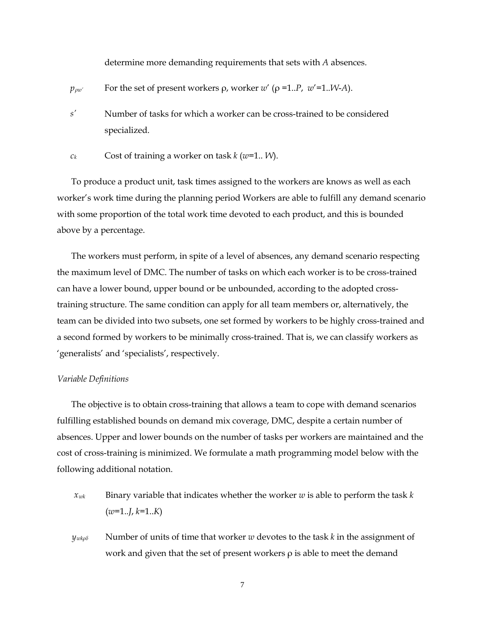determine more demanding requirements that sets with *A* absences.

- *p*<sub>ρw'</sub> For the set of present workers  $\rho$ , worker  $w'$  ( $\rho$  =1..*P*,  $w'$  =1..*W*-*A*).
- *s'* Number of tasks for which a worker can be cross-trained to be considered specialized.
- *ck* Cost of training a worker on task *k* (*w*=1.. *W*).

To produce a product unit, task times assigned to the workers are knows as well as each worker's work time during the planning period Workers are able to fulfill any demand scenario with some proportion of the total work time devoted to each product, and this is bounded above by a percentage.

The workers must perform, in spite of a level of absences, any demand scenario respecting the maximum level of DMC. The number of tasks on which each worker is to be cross-trained can have a lower bound, upper bound or be unbounded, according to the adopted crosstraining structure. The same condition can apply for all team members or, alternatively, the team can be divided into two subsets, one set formed by workers to be highly cross-trained and a second formed by workers to be minimally cross-trained. That is, we can classify workers as 'generalists' and 'specialists', respectively.

### *Variable Definitions*

The objective is to obtain cross-training that allows a team to cope with demand scenarios fulfilling established bounds on demand mix coverage, DMC, despite a certain number of absences. Upper and lower bounds on the number of tasks per workers are maintained and the cost of cross-training is minimized. We formulate a math programming model below with the following additional notation.

- $x_{wk}$  Binary variable that indicates whether the worker *w* is able to perform the task *k* (*w*=1..*J*, *k*=1..*K*)
- *y<sub>wkρδ</sub>* Number of units of time that worker *w* devotes to the task *k* in the assignment of work and given that the set of present workers  $\rho$  is able to meet the demand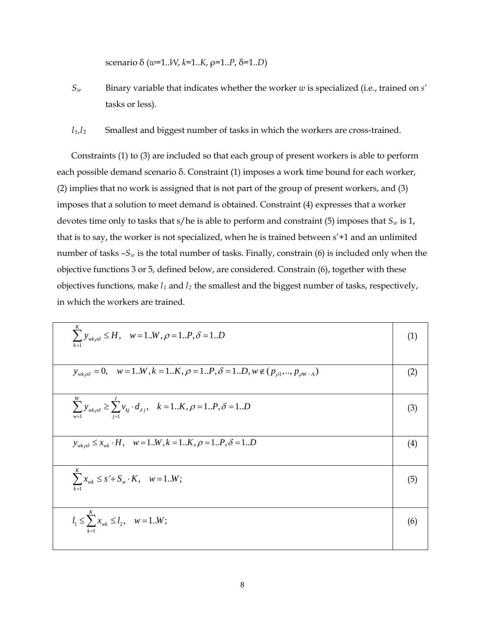scenario δ (*w*=1..*W*, *k*=1..*K*, ρ=1..*P*, δ=1..*D*)

- *Sw* Binary variable that indicates whether the worker *w* is specialized (i.e., trained on *s'* tasks or less).
- *l*1*,l*<sup>2</sup> Smallest and biggest number of tasks in which the workers are cross-trained.

Constraints (1) to (3) are included so that each group of present workers is able to perform each possible demand scenario δ. Constraint (1) imposes a work time bound for each worker, (2) implies that no work is assigned that is not part of the group of present workers, and (3) imposes that a solution to meet demand is obtained. Constraint (4) expresses that a worker devotes time only to tasks that  $s/h$ e is able to perform and constraint (5) imposes that  $S_w$  is 1, that is to say, the worker is not specialized, when he is trained between s'+1 and an unlimited number of tasks  $-S_w$  is the total number of tasks. Finally, constrain (6) is included only when the objective functions 3 or 5, defined below, are considered. Constrain (6), together with these objectives functions, make *l1* and *l2* the smallest and the biggest number of tasks, respectively, in which the workers are trained.

| $\sum y_{w k \rho \delta} \leq H$ , $w = 1W$ , $\rho = 1P$ , $\delta = 1D$                                 | (1) |
|------------------------------------------------------------------------------------------------------------|-----|
| $y_{w k\rho\delta} = 0$ , $w = 1W, k = 1K, \rho = 1P, \delta = 1D, w \notin (p_{\rho 1},, p_{\rho W-A})$   | (2) |
| $\sum_{w=1} y_{wk\rho\delta} \ge \sum_{i=1}^{s} v_{kj} \cdot d_{\delta j}, \quad k=1K, \rho=1P, \delta=1D$ | (3) |
| $y_{w k \rho \delta} \le x_{w k} \cdot H$ , $w = 1W$ , $k = 1K$ , $\rho = 1P$ , $\delta = 1D$              | (4) |
| $\sum_{w}^{K} x_{wk} \leq s' + S_w \cdot K, \quad w = 1W;$                                                 | (5) |
| $l_1 \leq \sum_{i=1}^{n} x_{wk} \leq l_2, \quad w = 1W;$                                                   | (6) |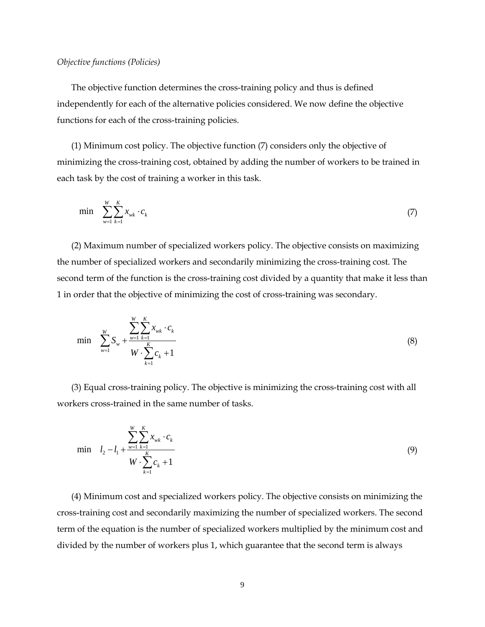### *Objective functions (Policies)*

The objective function determines the cross-training policy and thus is defined independently for each of the alternative policies considered. We now define the objective functions for each of the cross-training policies.

(1) Minimum cost policy. The objective function (7) considers only the objective of minimizing the cross-training cost, obtained by adding the number of workers to be trained in each task by the cost of training a worker in this task.

$$
\min \sum_{w=1}^{W} \sum_{k=1}^{K} x_{wk} \cdot c_k \tag{7}
$$

(2) Maximum number of specialized workers policy. The objective consists on maximizing the number of specialized workers and secondarily minimizing the cross-training cost. The second term of the function is the cross-training cost divided by a quantity that make it less than 1 in order that the objective of minimizing the cost of cross-training was secondary.

$$
\min \sum_{w=1}^{W} S_w + \frac{\sum_{k=1}^{W} \sum_{k=1}^{K} x_{wk} \cdot c_k}{W \cdot \sum_{k=1}^{K} c_k + 1}
$$
\n(8)

(3) Equal cross-training policy. The objective is minimizing the cross-training cost with all workers cross-trained in the same number of tasks.

$$
\min \quad l_2 - l_1 + \frac{\sum_{w=1}^{W} \sum_{k=1}^{K} x_{wk} \cdot c_k}{W \cdot \sum_{k=1}^{K} c_k + 1}
$$
\n(9)

(4) Minimum cost and specialized workers policy. The objective consists on minimizing the cross-training cost and secondarily maximizing the number of specialized workers. The second term of the equation is the number of specialized workers multiplied by the minimum cost and divided by the number of workers plus 1, which guarantee that the second term is always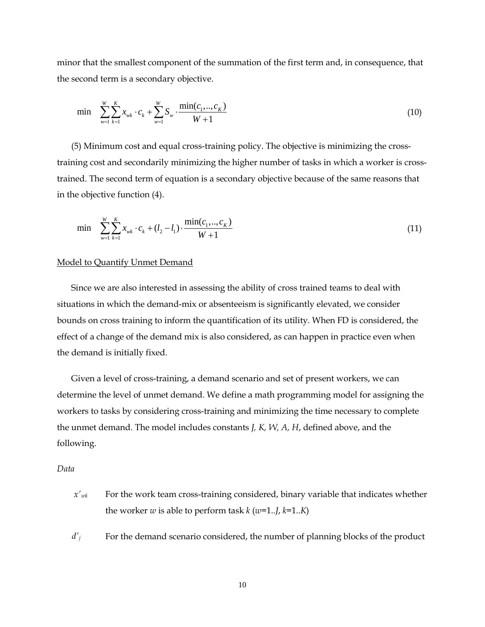minor that the smallest component of the summation of the first term and, in consequence, that the second term is a secondary objective.

$$
\min \sum_{w=1}^{W} \sum_{k=1}^{K} x_{wk} \cdot c_k + \sum_{w=1}^{W} S_w \cdot \frac{\min(c_1, ..., c_K)}{W + 1} \tag{10}
$$

(5) Minimum cost and equal cross-training policy. The objective is minimizing the crosstraining cost and secondarily minimizing the higher number of tasks in which a worker is crosstrained. The second term of equation is a secondary objective because of the same reasons that in the objective function (4).

$$
\min \sum_{w=1}^{W} \sum_{k=1}^{K} x_{wk} \cdot c_k + (l_2 - l_1) \cdot \frac{\min(c_1, ..., c_K)}{W + 1} \tag{11}
$$

### Model to Quantify Unmet Demand

Since we are also interested in assessing the ability of cross trained teams to deal with situations in which the demand-mix or absenteeism is significantly elevated, we consider bounds on cross training to inform the quantification of its utility. When FD is considered, the effect of a change of the demand mix is also considered, as can happen in practice even when the demand is initially fixed.

Given a level of cross-training, a demand scenario and set of present workers, we can determine the level of unmet demand. We define a math programming model for assigning the workers to tasks by considering cross-training and minimizing the time necessary to complete the unmet demand. The model includes constants *J, K, W, A, H*, defined above, and the following.

### *Data*

- $x<sub>wk</sub>$  For the work team cross-training considered, binary variable that indicates whether the worker *w* is able to perform task  $k$  (*w*=1..*J*,  $k$ =1..*K*)
- *d'j* For the demand scenario considered, the number of planning blocks of the product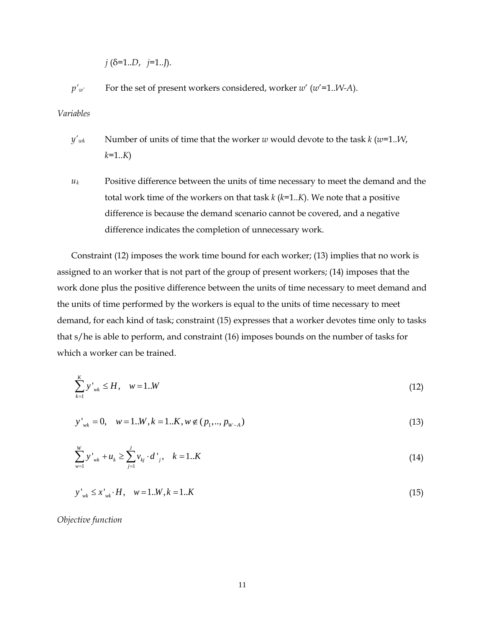*j* (δ=1..*D*, *j*=1..*J*).

*p'w'* For the set of present workers considered, worker *w*' (*w*'=1..*W-A*).

*Variables*

- *y'wk* Number of units of time that the worker *w* would devote to the task *k* (*w*=1..*W*, *k*=1..*K*)
- *uk* Positive difference between the units of time necessary to meet the demand and the total work time of the workers on that task *k* (*k*=1..*K*). We note that a positive difference is because the demand scenario cannot be covered, and a negative difference indicates the completion of unnecessary work.

Constraint (12) imposes the work time bound for each worker; (13) implies that no work is assigned to an worker that is not part of the group of present workers; (14) imposes that the work done plus the positive difference between the units of time necessary to meet demand and the units of time performed by the workers is equal to the units of time necessary to meet demand, for each kind of task; constraint (15) expresses that a worker devotes time only to tasks that s/he is able to perform, and constraint (16) imposes bounds on the number of tasks for which a worker can be trained.

$$
\sum_{k=1}^{K} y'_{wk} \le H, \quad w = 1..W \tag{12}
$$

$$
y'_{wk} = 0, \quad w = 1..W, k = 1..K, w \notin (p_1, ..., p_{W-A})
$$
\n(13)

$$
\sum_{w=1}^{W} y'_{wk} + u_k \ge \sum_{j=1}^{J} v_{kj} \cdot d'_{j}, \quad k = 1..K
$$
\n(14)

$$
y'_{wk} \le x'_{wk} \cdot H, \quad w = 1..W, k = 1..K \tag{15}
$$

*Objective function*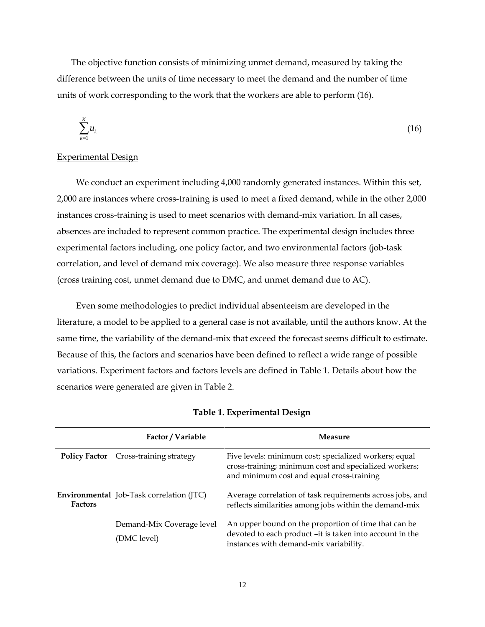The objective function consists of minimizing unmet demand, measured by taking the difference between the units of time necessary to meet the demand and the number of time units of work corresponding to the work that the workers are able to perform (16).

$$
\sum_{k=1}^{K} u_k \tag{16}
$$

### Experimental Design

We conduct an experiment including 4,000 randomly generated instances. Within this set, 2,000 are instances where cross-training is used to meet a fixed demand, while in the other 2,000 instances cross-training is used to meet scenarios with demand-mix variation. In all cases, absences are included to represent common practice. The experimental design includes three experimental factors including, one policy factor, and two environmental factors (job-task correlation, and level of demand mix coverage). We also measure three response variables (cross training cost, unmet demand due to DMC, and unmet demand due to AC).

Even some methodologies to predict individual absenteeism are developed in the literature, a model to be applied to a general case is not available, until the authors know. At the same time, the variability of the demand-mix that exceed the forecast seems difficult to estimate. Because of this, the factors and scenarios have been defined to reflect a wide range of possible variations. Experiment factors and factors levels are defined in Table 1. Details about how the scenarios were generated are given in Table 2.

|                | Factor / Variable                               | Measure                                                                                                                                                     |
|----------------|-------------------------------------------------|-------------------------------------------------------------------------------------------------------------------------------------------------------------|
|                | <b>Policy Factor</b> Cross-training strategy    | Five levels: minimum cost; specialized workers; equal<br>cross-training; minimum cost and specialized workers;<br>and minimum cost and equal cross-training |
| <b>Factors</b> | <b>Environmental</b> Job-Task correlation (JTC) | Average correlation of task requirements across jobs, and<br>reflects similarities among jobs within the demand-mix                                         |
|                | Demand-Mix Coverage level<br>(DMC level)        | An upper bound on the proportion of time that can be<br>devoted to each product -it is taken into account in the<br>instances with demand-mix variability.  |

|  | Table 1. Experimental Design |  |
|--|------------------------------|--|
|--|------------------------------|--|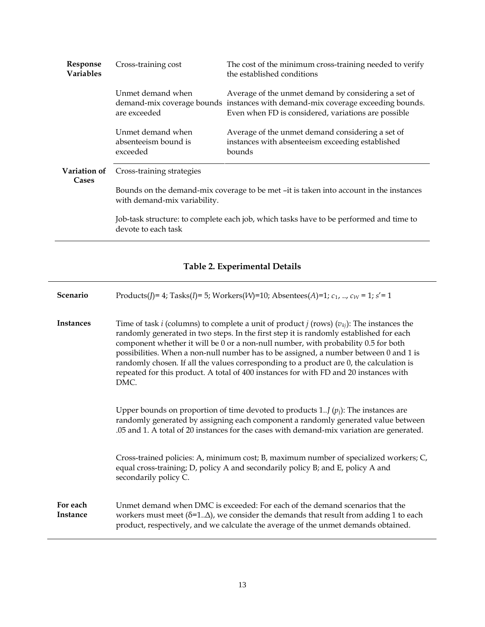| Response<br><b>Variables</b> | Cross-training cost                                                                                                    | The cost of the minimum cross-training needed to verify<br>the established conditions                                                                                                         |  |  |  |  |
|------------------------------|------------------------------------------------------------------------------------------------------------------------|-----------------------------------------------------------------------------------------------------------------------------------------------------------------------------------------------|--|--|--|--|
|                              | Unmet demand when<br>are exceeded                                                                                      | Average of the unmet demand by considering a set of<br>demand-mix coverage bounds instances with demand-mix coverage exceeding bounds.<br>Even when FD is considered, variations are possible |  |  |  |  |
|                              | Unmet demand when<br>absenteeism bound is<br>exceeded                                                                  | Average of the unmet demand considering a set of<br>instances with absenteeism exceeding established<br>bounds                                                                                |  |  |  |  |
| Variation of<br>Cases        | Cross-training strategies                                                                                              |                                                                                                                                                                                               |  |  |  |  |
|                              | Bounds on the demand-mix coverage to be met -it is taken into account in the instances<br>with demand-mix variability. |                                                                                                                                                                                               |  |  |  |  |
|                              | Job-task structure: to complete each job, which tasks have to be performed and time to<br>devote to each task          |                                                                                                                                                                                               |  |  |  |  |

# **Table 2. Experimental Details**

| Scenario             | Products(J)= 4; Tasks(I)= 5; Workers(W)=10; Absentees(A)=1; $c_1$ , , $c_W$ = 1; $s'$ = 1                                                                                                                                                                                                                                                                                                                                                                                                                                                                                         |
|----------------------|-----------------------------------------------------------------------------------------------------------------------------------------------------------------------------------------------------------------------------------------------------------------------------------------------------------------------------------------------------------------------------------------------------------------------------------------------------------------------------------------------------------------------------------------------------------------------------------|
| <b>Instances</b>     | Time of task <i>i</i> (columns) to complete a unit of product <i>j</i> (rows) $(v_{kj})$ : The instances the<br>randomly generated in two steps. In the first step it is randomly established for each<br>component whether it will be 0 or a non-null number, with probability 0.5 for both<br>possibilities. When a non-null number has to be assigned, a number between 0 and 1 is<br>randomly chosen. If all the values corresponding to a product are 0, the calculation is<br>repeated for this product. A total of 400 instances for with FD and 20 instances with<br>DMC. |
|                      | Upper bounds on proportion of time devoted to products 1 $(p_i)$ : The instances are<br>randomly generated by assigning each component a randomly generated value between<br>.05 and 1. A total of 20 instances for the cases with demand-mix variation are generated.                                                                                                                                                                                                                                                                                                            |
|                      | Cross-trained policies: A, minimum cost; B, maximum number of specialized workers; C,<br>equal cross-training; D, policy A and secondarily policy B; and E, policy A and<br>secondarily policy C.                                                                                                                                                                                                                                                                                                                                                                                 |
| For each<br>Instance | Unmet demand when DMC is exceeded: For each of the demand scenarios that the<br>workers must meet ( $\delta$ =1 $\Delta$ ), we consider the demands that result from adding 1 to each<br>product, respectively, and we calculate the average of the unmet demands obtained.                                                                                                                                                                                                                                                                                                       |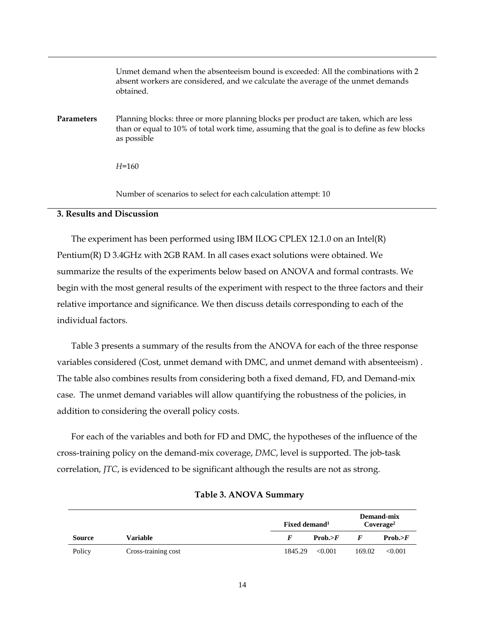|                   | Unmet demand when the absenteeism bound is exceeded: All the combinations with 2<br>absent workers are considered, and we calculate the average of the unmet demands<br>obtained.                 |
|-------------------|---------------------------------------------------------------------------------------------------------------------------------------------------------------------------------------------------|
| <b>Parameters</b> | Planning blocks: three or more planning blocks per product are taken, which are less<br>than or equal to 10% of total work time, assuming that the goal is to define as few blocks<br>as possible |
|                   | $H = 160$                                                                                                                                                                                         |
|                   | Number of scenarios to select for each calculation attempt: 10                                                                                                                                    |

## **3. Results and Discussion**

The experiment has been performed using IBM ILOG CPLEX 12.1.0 on an Intel(R) Pentium(R) D 3.4GHz with 2GB RAM. In all cases exact solutions were obtained. We summarize the results of the experiments below based on ANOVA and formal contrasts. We begin with the most general results of the experiment with respect to the three factors and their relative importance and significance. We then discuss details corresponding to each of the individual factors.

Table 3 presents a summary of the results from the ANOVA for each of the three response variables considered (Cost, unmet demand with DMC, and unmet demand with absenteeism) . The table also combines results from considering both a fixed demand, FD, and Demand-mix case. The unmet demand variables will allow quantifying the robustness of the policies, in addition to considering the overall policy costs.

For each of the variables and both for FD and DMC, the hypotheses of the influence of the cross-training policy on the demand-mix coverage, *DMC*, level is supported. The job-task correlation, *JTC*, is evidenced to be significant although the results are not as strong.

|               |                     | Fixed demand <sup>1</sup> | Demand-mix<br>Coverage <sup>2</sup> |
|---------------|---------------------|---------------------------|-------------------------------------|
| <b>Source</b> | Variable            | Prob. > F                 | Prob. > F                           |
| Policy        | Cross-training cost | 1845.29<br>< 0.001        | 169.02<br>< 0.001                   |

### **Table 3. ANOVA Summary**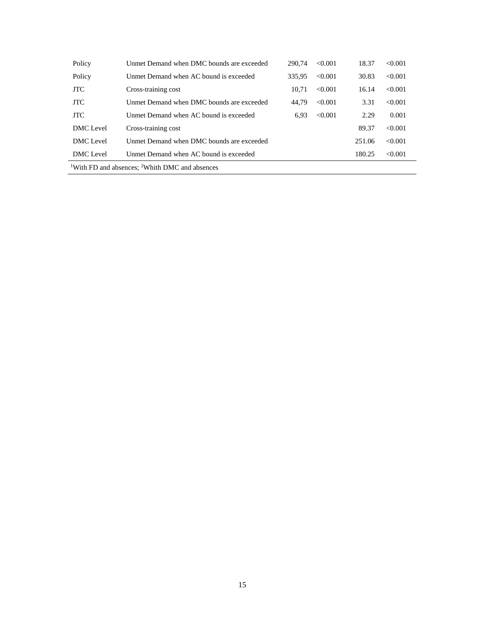| Policy     | Unmet Demand when DMC bounds are exceeded                              | 290.74 | < 0.001 | 18.37  | < 0.001 |
|------------|------------------------------------------------------------------------|--------|---------|--------|---------|
| Policy     | Unmet Demand when AC bound is exceeded                                 | 335.95 | < 0.001 | 30.83  | < 0.001 |
| <b>JTC</b> | Cross-training cost                                                    | 10.71  | < 0.001 | 16.14  | < 0.001 |
| <b>JTC</b> | Unmet Demand when DMC bounds are exceeded                              | 44.79  | < 0.001 | 3.31   | < 0.001 |
| <b>JTC</b> | Unmet Demand when AC bound is exceeded                                 | 6.93   | < 0.001 | 2.29   | 0.001   |
| DMC Level  | Cross-training cost                                                    |        |         | 89.37  | < 0.001 |
| DMC Level  | Unmet Demand when DMC bounds are exceeded                              |        |         | 251.06 | < 0.001 |
| DMC Level  | Unmet Demand when AC bound is exceeded                                 |        |         | 180.25 | < 0.001 |
|            | <sup>1</sup> With FD and absences; <sup>2</sup> Whith DMC and absences |        |         |        |         |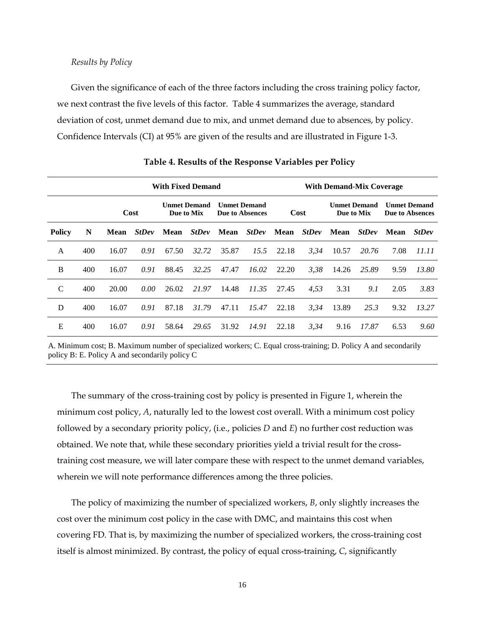### *Results by Policy*

Given the significance of each of the three factors including the cross training policy factor, we next contrast the five levels of this factor. Table 4 summarizes the average, standard deviation of cost, unmet demand due to mix, and unmet demand due to absences, by policy. Confidence Intervals (CI) at 95% are given of the results and are illustrated in Figure 1-3.

|               | <b>With Fixed Demand</b> |       |              |       |                                   |                 |                     |       |              | <b>With Demand-Mix Coverage</b> |                                   |                     |                        |
|---------------|--------------------------|-------|--------------|-------|-----------------------------------|-----------------|---------------------|-------|--------------|---------------------------------|-----------------------------------|---------------------|------------------------|
|               |                          |       | Cost         |       | <b>Unmet Demand</b><br>Due to Mix | Due to Absences | <b>Unmet Demand</b> |       | Cost         |                                 | <b>Unmet Demand</b><br>Due to Mix | <b>Unmet Demand</b> | <b>Due to Absences</b> |
| <b>Policy</b> | N                        | Mean  | <b>StDev</b> | Mean  | <b>StDev</b>                      | Mean            | <b>StDev</b>        | Mean  | <b>StDev</b> | Mean                            | <b>StDev</b>                      | Mean                | <b>StDev</b>           |
| A             | 400                      | 16.07 | 0.91         | 67.50 | 32.72                             | 35.87           | 15.5                | 22.18 | 3,34         | 10.57                           | 20.76                             | 7.08                | 11.11                  |
| B             | 400                      | 16.07 | 0.91         | 88.45 | 32.25                             | 47.47           | 16.02               | 22.20 | 3,38         | 14.26                           | 25.89                             | 9.59                | 13.80                  |
| C             | 400                      | 20.00 | 0.00         | 26.02 | 21.97                             | 14.48           | 11.35               | 27.45 | 4,53         | 3.31                            | 9.1                               | 2.05                | 3.83                   |
| D             | 400                      | 16.07 | 0.91         | 87.18 | 31.79                             | 47.11           | 15.47               | 22.18 | 3.34         | 13.89                           | 25.3                              | 9.32                | 13.27                  |
| E             | 400                      | 16.07 | 0.91         | 58.64 | 29.65                             | 31.92           | 14.91               | 22.18 | 3,34         | 9.16                            | 17.87                             | 6.53                | 9.60                   |

**Table 4. Results of the Response Variables per Policy**

A. Minimum cost; B. Maximum number of specialized workers; C. Equal cross-training; D. Policy A and secondarily policy B: E. Policy A and secondarily policy C

The summary of the cross-training cost by policy is presented in Figure 1, wherein the minimum cost policy, *A*, naturally led to the lowest cost overall. With a minimum cost policy followed by a secondary priority policy, (i.e., policies *D* and *E*) no further cost reduction was obtained. We note that, while these secondary priorities yield a trivial result for the crosstraining cost measure, we will later compare these with respect to the unmet demand variables, wherein we will note performance differences among the three policies.

The policy of maximizing the number of specialized workers, *B*, only slightly increases the cost over the minimum cost policy in the case with DMC, and maintains this cost when covering FD. That is, by maximizing the number of specialized workers, the cross-training cost itself is almost minimized. By contrast, the policy of equal cross-training, *C*, significantly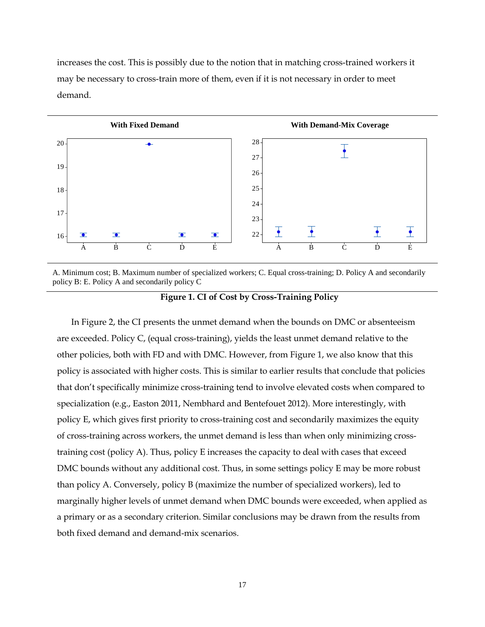increases the cost. This is possibly due to the notion that in matching cross-trained workers it may be necessary to cross-train more of them, even if it is not necessary in order to meet demand.



A. Minimum cost; B. Maximum number of specialized workers; C. Equal cross-training; D. Policy A and secondarily policy B: E. Policy A and secondarily policy C

**Figure 1. CI of Cost by Cross-Training Policy**

In Figure 2, the CI presents the unmet demand when the bounds on DMC or absenteeism are exceeded. Policy C, (equal cross-training), yields the least unmet demand relative to the other policies, both with FD and with DMC. However, from Figure 1, we also know that this policy is associated with higher costs. This is similar to earlier results that conclude that policies that don't specifically minimize cross-training tend to involve elevated costs when compared to specialization (e.g., Easton 2011, Nembhard and Bentefouet 2012). More interestingly, with policy E, which gives first priority to cross-training cost and secondarily maximizes the equity of cross-training across workers, the unmet demand is less than when only minimizing crosstraining cost (policy A). Thus, policy E increases the capacity to deal with cases that exceed DMC bounds without any additional cost. Thus, in some settings policy E may be more robust than policy A. Conversely, policy B (maximize the number of specialized workers), led to marginally higher levels of unmet demand when DMC bounds were exceeded, when applied as a primary or as a secondary criterion. Similar conclusions may be drawn from the results from both fixed demand and demand-mix scenarios.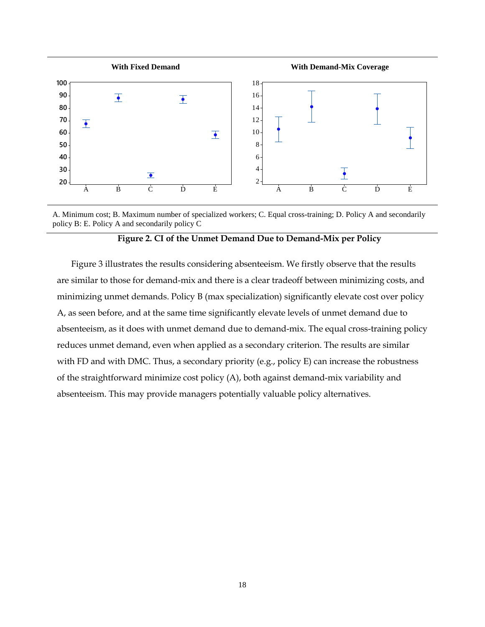

A. Minimum cost; B. Maximum number of specialized workers; C. Equal cross-training; D. Policy A and secondarily policy B: E. Policy A and secondarily policy C

## **Figure 2. CI of the Unmet Demand Due to Demand-Mix per Policy**

Figure 3 illustrates the results considering absenteeism. We firstly observe that the results are similar to those for demand-mix and there is a clear tradeoff between minimizing costs, and minimizing unmet demands. Policy B (max specialization) significantly elevate cost over policy A, as seen before, and at the same time significantly elevate levels of unmet demand due to absenteeism, as it does with unmet demand due to demand-mix. The equal cross-training policy reduces unmet demand, even when applied as a secondary criterion. The results are similar with FD and with DMC. Thus, a secondary priority (e.g., policy E) can increase the robustness of the straightforward minimize cost policy (A), both against demand-mix variability and absenteeism. This may provide managers potentially valuable policy alternatives.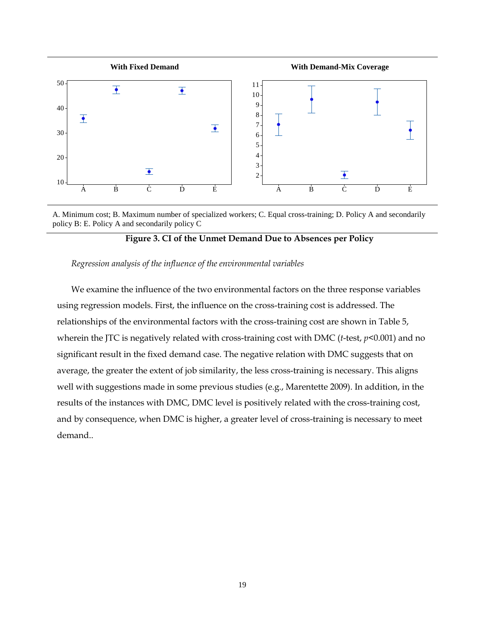



## **Figure 3. CI of the Unmet Demand Due to Absences per Policy**

## *Regression analysis of the influence of the environmental variables*

We examine the influence of the two environmental factors on the three response variables using regression models. First, the influence on the cross-training cost is addressed. The relationships of the environmental factors with the cross-training cost are shown in Table 5, wherein the JTC is negatively related with cross-training cost with DMC (*t*-test, *p*<0.001) and no significant result in the fixed demand case. The negative relation with DMC suggests that on average, the greater the extent of job similarity, the less cross-training is necessary. This aligns well with suggestions made in some previous studies (e.g., Marentette 2009). In addition, in the results of the instances with DMC, DMC level is positively related with the cross-training cost, and by consequence, when DMC is higher, a greater level of cross-training is necessary to meet demand..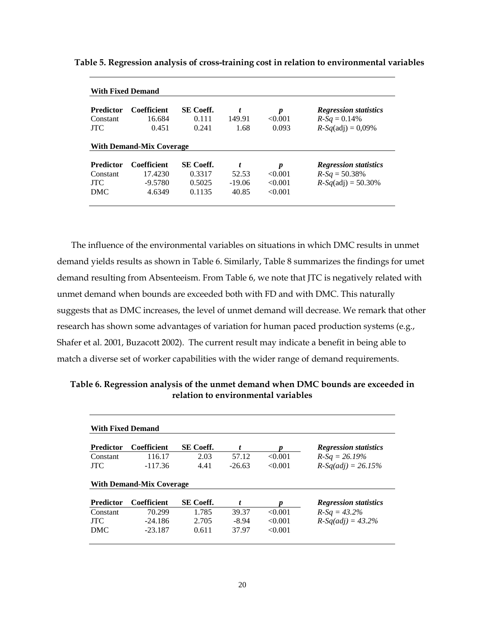| Predictor        | <b>Coefficient</b>              | SE Coeff. | t        | $\boldsymbol{p}$ | <b>Regression statistics</b> |
|------------------|---------------------------------|-----------|----------|------------------|------------------------------|
| Constant         | 16.684                          | 0.111     | 149.91   | < 0.001          | $R-Sq = 0.14\%$              |
| <b>JTC</b>       | 0.451                           | 0.241     | 1.68     | 0.093            | $R-Sq(adj) = 0,09\%$         |
|                  | <b>With Demand-Mix Coverage</b> |           |          |                  |                              |
|                  |                                 |           |          |                  |                              |
| <b>Predictor</b> | <b>Coefficient</b>              | SE Coeff. |          | $\boldsymbol{p}$ | <b>Regression statistics</b> |
| Constant         | 17.4230                         | 0.3317    | 52.53    | <0.001           | $R-Sq = 50.38\%$             |
| <b>JTC</b>       | $-9.5780$                       | 0.5025    | $-19.06$ | < 0.001          | $R-Sq(\text{adj}) = 50.30\%$ |

**Table 5. Regression analysis of cross-training cost in relation to environmental variables**

The influence of the environmental variables on situations in which DMC results in unmet demand yields results as shown in Table 6. Similarly, Table 8 summarizes the findings for umet demand resulting from Absenteeism. From Table 6, we note that JTC is negatively related with unmet demand when bounds are exceeded both with FD and with DMC. This naturally suggests that as DMC increases, the level of unmet demand will decrease. We remark that other research has shown some advantages of variation for human paced production systems (e.g., Shafer et al. 2001, Buzacott 2002). The current result may indicate a benefit in being able to match a diverse set of worker capabilities with the wider range of demand requirements.

**Table 6. Regression analysis of the unmet demand when DMC bounds are exceeded in relation to environmental variables**

| <b>With Fixed Demand</b> |                                 |                  |          |         |                              |  |  |  |  |
|--------------------------|---------------------------------|------------------|----------|---------|------------------------------|--|--|--|--|
| <b>Predictor</b>         | <b>Coefficient</b>              | <b>SE</b> Coeff. | t        |         | <b>Regression statistics</b> |  |  |  |  |
| Constant                 | 116.17                          | 2.03             | 57.12    | < 0.001 | $R-Sq = 26.19\%$             |  |  |  |  |
| <b>JTC</b>               | $-117.36$                       | 4.41             | $-26.63$ | < 0.001 | $R-Sq(adj) = 26.15%$         |  |  |  |  |
|                          | <b>With Demand-Mix Coverage</b> |                  |          |         |                              |  |  |  |  |
| <b>Predictor</b>         | <b>Coefficient</b>              | <b>SE</b> Coeff. | t        |         | <b>Regression statistics</b> |  |  |  |  |
| Constant                 | 70.299                          | 1.785            | 39.37    | < 0.001 | $R-Sq = 43.2\%$              |  |  |  |  |
| <b>JTC</b>               | $-24.186$                       | 2.705            | $-8.94$  | < 0.001 | $R-Sqadj) = 43.2%$           |  |  |  |  |
|                          | $-23.187$                       | 0.611            | 37.97    | < 0.001 |                              |  |  |  |  |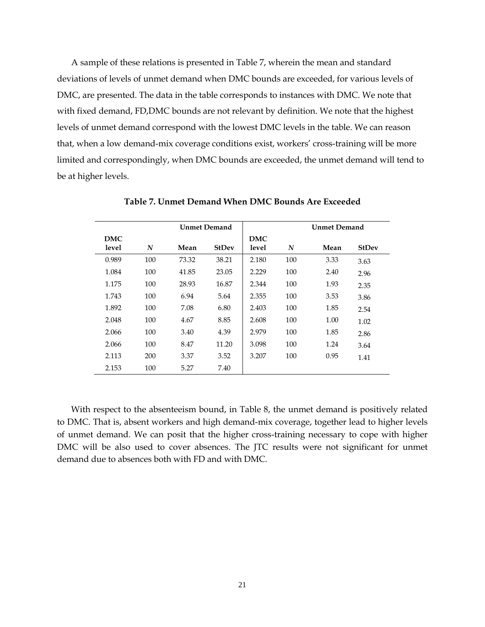A sample of these relations is presented in Table 7, wherein the mean and standard deviations of levels of unmet demand when DMC bounds are exceeded, for various levels of DMC, are presented. The data in the table corresponds to instances with DMC. We note that with fixed demand, FD,DMC bounds are not relevant by definition. We note that the highest levels of unmet demand correspond with the lowest DMC levels in the table. We can reason that, when a low demand-mix coverage conditions exist, workers' cross-training will be more limited and correspondingly, when DMC bounds are exceeded, the unmet demand will tend to be at higher levels.

|       |     |       | <b>Unmet Demand</b> |            |     | <b>Unmet Demand</b> |              |
|-------|-----|-------|---------------------|------------|-----|---------------------|--------------|
| DMC   |     |       |                     | <b>DMC</b> |     |                     |              |
| level | N   | Mean  | <b>StDev</b>        | level      | N   | Mean                | <b>StDev</b> |
| 0.989 | 100 | 73.32 | 38.21               | 2.180      | 100 | 3.33                | 3.63         |
| 1.084 | 100 | 41.85 | 23.05               | 2.229      | 100 | 2.40                | 2.96         |
| 1.175 | 100 | 28.93 | 16.87               | 2.344      | 100 | 1.93                | 2.35         |
| 1.743 | 100 | 6.94  | 5.64                | 2.355      | 100 | 3.53                | 3.86         |
| 1.892 | 100 | 7.08  | 6.80                | 2.403      | 100 | 1.85                | 2.54         |
| 2.048 | 100 | 4.67  | 8.85                | 2.608      | 100 | 1.00                | 1.02         |
| 2.066 | 100 | 3.40  | 4.39                | 2.979      | 100 | 1.85                | 2.86         |
| 2.066 | 100 | 8.47  | 11.20               | 3.098      | 100 | 1.24                | 3.64         |
| 2.113 | 200 | 3.37  | 3.52                | 3.207      | 100 | 0.95                | 1.41         |
| 2.153 | 100 | 5.27  | 7.40                |            |     |                     |              |

**Table 7. Unmet Demand When DMC Bounds Are Exceeded**

With respect to the absenteeism bound, in Table 8, the unmet demand is positively related to DMC. That is, absent workers and high demand-mix coverage, together lead to higher levels of unmet demand. We can posit that the higher cross-training necessary to cope with higher DMC will be also used to cover absences. The JTC results were not significant for unmet demand due to absences both with FD and with DMC.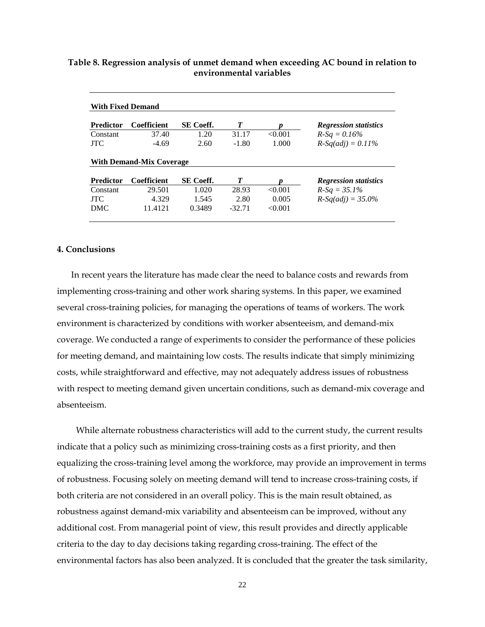| <b>With Fixed Demand</b> |                                 |                  |         |        |                              |
|--------------------------|---------------------------------|------------------|---------|--------|------------------------------|
| <b>Predictor</b>         | <b>Coefficient</b>              | <b>SE</b> Coeff. | T       | n      | <b>Regression statistics</b> |
| Constant                 | 37.40                           | 1.20             | 31.17   | <0.001 | $R-Sq = 0.16\%$              |
| <b>ITC</b>               | $-4.69$                         | 2.60             | $-1.80$ | 1.000  | $R-Sq(adj) = 0.11\%$         |
|                          | <b>With Demand-Mix Coverage</b> |                  |         |        |                              |
| <b>Predictor</b>         | <b>Coefficient</b>              | <b>SE</b> Coeff. | T       |        | <b>Regression statistics</b> |
|                          |                                 |                  |         |        |                              |
| Constant                 | 29.501                          | 1.020            | 28.93   | <0.001 | $R-Sq = 35.1\%$              |
| <b>ITC</b>               | 4.329                           | 1.545            | 2.80    | 0.005  | $R-Sqadj) = 35.0\%$          |

## **Table 8. Regression analysis of unmet demand when exceeding AC bound in relation to environmental variables**

## **4. Conclusions**

In recent years the literature has made clear the need to balance costs and rewards from implementing cross-training and other work sharing systems. In this paper, we examined several cross-training policies, for managing the operations of teams of workers. The work environment is characterized by conditions with worker absenteeism, and demand-mix coverage. We conducted a range of experiments to consider the performance of these policies for meeting demand, and maintaining low costs. The results indicate that simply minimizing costs, while straightforward and effective, may not adequately address issues of robustness with respect to meeting demand given uncertain conditions, such as demand-mix coverage and absenteeism.

While alternate robustness characteristics will add to the current study, the current results indicate that a policy such as minimizing cross-training costs as a first priority, and then equalizing the cross-training level among the workforce, may provide an improvement in terms of robustness. Focusing solely on meeting demand will tend to increase cross-training costs, if both criteria are not considered in an overall policy. This is the main result obtained, as robustness against demand-mix variability and absenteeism can be improved, without any additional cost. From managerial point of view, this result provides and directly applicable criteria to the day to day decisions taking regarding cross-training. The effect of the environmental factors has also been analyzed. It is concluded that the greater the task similarity,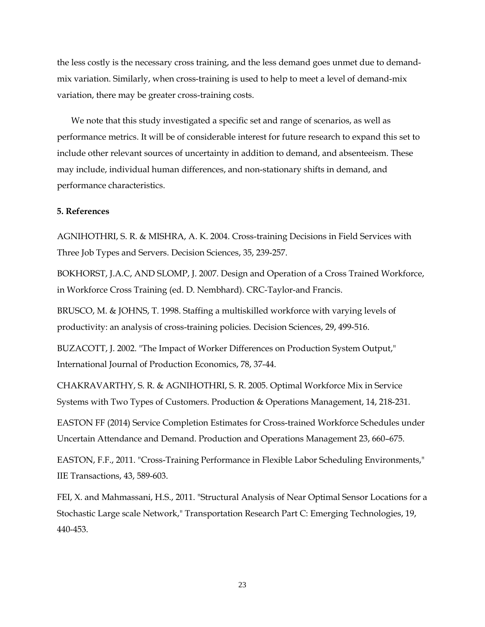the less costly is the necessary cross training, and the less demand goes unmet due to demandmix variation. Similarly, when cross-training is used to help to meet a level of demand-mix variation, there may be greater cross-training costs.

We note that this study investigated a specific set and range of scenarios, as well as performance metrics. It will be of considerable interest for future research to expand this set to include other relevant sources of uncertainty in addition to demand, and absenteeism. These may include, individual human differences, and non-stationary shifts in demand, and performance characteristics.

### **5. References**

AGNIHOTHRI, S. R. & MISHRA, A. K. 2004. Cross-training Decisions in Field Services with Three Job Types and Servers. Decision Sciences, 35, 239-257.

BOKHORST, J.A.C, AND SLOMP, J. 2007. Design and Operation of a Cross Trained Workforce, in Workforce Cross Training (ed. D. Nembhard). CRC-Taylor-and Francis.

BRUSCO, M. & JOHNS, T. 1998. Staffing a multiskilled workforce with varying levels of productivity: an analysis of cross-training policies. Decision Sciences, 29, 499-516.

BUZACOTT, J. 2002. "The Impact of Worker Differences on Production System Output," International Journal of Production Economics, 78, 37-44.

CHAKRAVARTHY, S. R. & AGNIHOTHRI, S. R. 2005. Optimal Workforce Mix in Service Systems with Two Types of Customers. Production & Operations Management, 14, 218-231.

EASTON FF (2014) Service Completion Estimates for Cross-trained Workforce Schedules under Uncertain Attendance and Demand. Production and Operations Management 23, 660–675.

EASTON, F.F., 2011. "Cross-Training Performance in Flexible Labor Scheduling Environments," IIE Transactions, 43, 589-603.

FEI, X. and Mahmassani, H.S., 2011. "Structural Analysis of Near Optimal Sensor Locations for a Stochastic Large scale Network," Transportation Research Part C: Emerging Technologies, 19, 440-453.